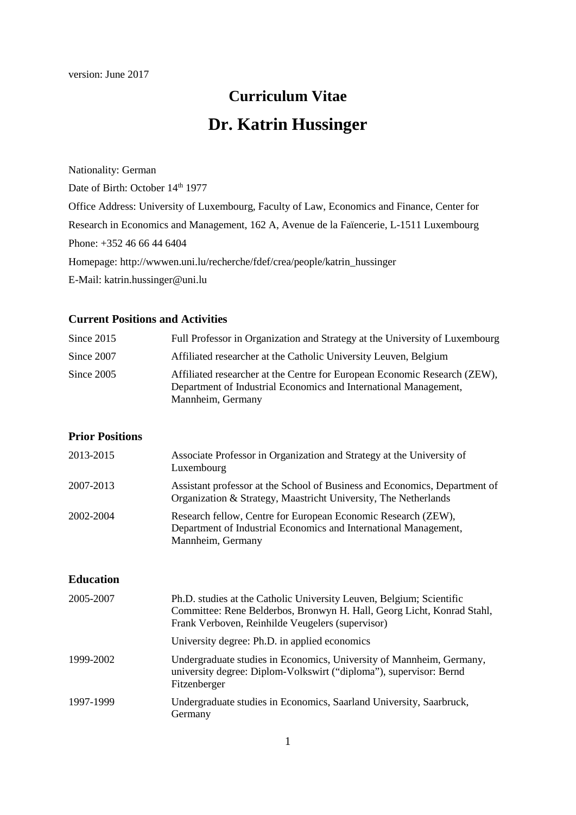# **Curriculum Vitae Dr. Katrin Hussinger**

Nationality: German

Date of Birth: October 14<sup>th</sup> 1977

Office Address: University of Luxembourg, Faculty of Law, Economics and Finance, Center for

Research in Economics and Management, 162 A, Avenue de la Faïencerie, L-1511 Luxembourg Phone: +352 46 66 44 6404

Homepage: http://wwwen.uni.lu/recherche/fdef/crea/people/katrin\_hussinger

E-Mail: katrin.hussinger@uni.lu

## **Current Positions and Activities**

| Since $2015$ | Full Professor in Organization and Strategy at the University of Luxembourg                                                                                        |
|--------------|--------------------------------------------------------------------------------------------------------------------------------------------------------------------|
| Since 2007   | Affiliated researcher at the Catholic University Leuven, Belgium                                                                                                   |
| Since $2005$ | Affiliated researcher at the Centre for European Economic Research (ZEW),<br>Department of Industrial Economics and International Management,<br>Mannheim, Germany |

## **Prior Positions**

| 2013-2015 | Associate Professor in Organization and Strategy at the University of<br>Luxembourg                                                                    |
|-----------|--------------------------------------------------------------------------------------------------------------------------------------------------------|
| 2007-2013 | Assistant professor at the School of Business and Economics, Department of<br>Organization & Strategy, Maastricht University, The Netherlands          |
| 2002-2004 | Research fellow, Centre for European Economic Research (ZEW),<br>Department of Industrial Economics and International Management,<br>Mannheim, Germany |

## **Education**

| 2005-2007 | Ph.D. studies at the Catholic University Leuven, Belgium; Scientific<br>Committee: Rene Belderbos, Bronwyn H. Hall, Georg Licht, Konrad Stahl,<br>Frank Verboven, Reinhilde Veugelers (supervisor) |
|-----------|----------------------------------------------------------------------------------------------------------------------------------------------------------------------------------------------------|
|           | University degree: Ph.D. in applied economics                                                                                                                                                      |
| 1999-2002 | Undergraduate studies in Economics, University of Mannheim, Germany,<br>university degree: Diplom-Volkswirt ("diploma"), supervisor: Bernd<br>Fitzenberger                                         |
| 1997-1999 | Undergraduate studies in Economics, Saarland University, Saarbruck,<br>Germany                                                                                                                     |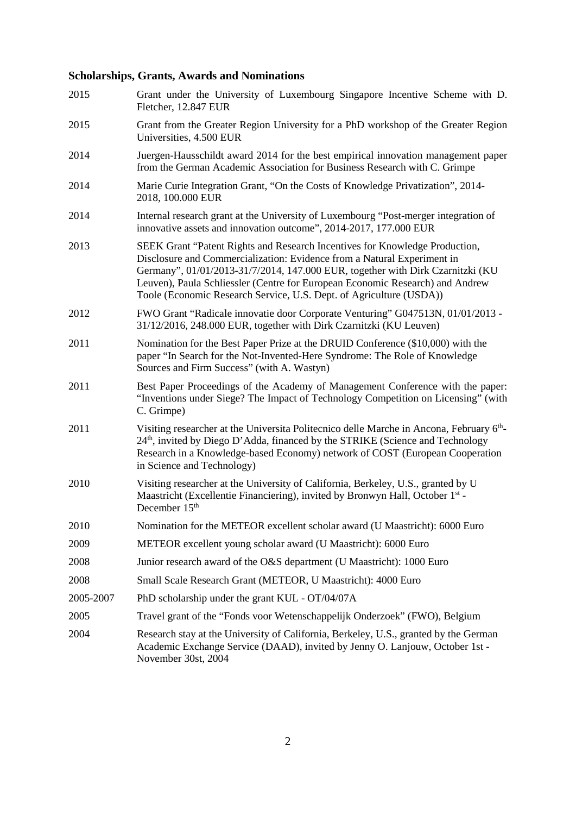## **Scholarships, Grants, Awards and Nominations**

| 2015      | Grant under the University of Luxembourg Singapore Incentive Scheme with D.<br>Fletcher, 12.847 EUR                                                                                                                                                                                                                                                                                              |
|-----------|--------------------------------------------------------------------------------------------------------------------------------------------------------------------------------------------------------------------------------------------------------------------------------------------------------------------------------------------------------------------------------------------------|
| 2015      | Grant from the Greater Region University for a PhD workshop of the Greater Region<br>Universities, 4.500 EUR                                                                                                                                                                                                                                                                                     |
| 2014      | Juergen-Hausschildt award 2014 for the best empirical innovation management paper<br>from the German Academic Association for Business Research with C. Grimpe                                                                                                                                                                                                                                   |
| 2014      | Marie Curie Integration Grant, "On the Costs of Knowledge Privatization", 2014-<br>2018, 100.000 EUR                                                                                                                                                                                                                                                                                             |
| 2014      | Internal research grant at the University of Luxembourg "Post-merger integration of<br>innovative assets and innovation outcome", 2014-2017, 177.000 EUR                                                                                                                                                                                                                                         |
| 2013      | SEEK Grant "Patent Rights and Research Incentives for Knowledge Production,<br>Disclosure and Commercialization: Evidence from a Natural Experiment in<br>Germany", 01/01/2013-31/7/2014, 147.000 EUR, together with Dirk Czarnitzki (KU<br>Leuven), Paula Schliessler (Centre for European Economic Research) and Andrew<br>Toole (Economic Research Service, U.S. Dept. of Agriculture (USDA)) |
| 2012      | FWO Grant "Radicale innovatie door Corporate Venturing" G047513N, 01/01/2013 -<br>31/12/2016, 248.000 EUR, together with Dirk Czarnitzki (KU Leuven)                                                                                                                                                                                                                                             |
| 2011      | Nomination for the Best Paper Prize at the DRUID Conference (\$10,000) with the<br>paper "In Search for the Not-Invented-Here Syndrome: The Role of Knowledge<br>Sources and Firm Success" (with A. Wastyn)                                                                                                                                                                                      |
| 2011      | Best Paper Proceedings of the Academy of Management Conference with the paper:<br>"Inventions under Siege? The Impact of Technology Competition on Licensing" (with<br>C. Grimpe)                                                                                                                                                                                                                |
| 2011      | Visiting researcher at the Universita Politecnico delle Marche in Ancona, February 6th-<br>24 <sup>th</sup> , invited by Diego D'Adda, financed by the STRIKE (Science and Technology<br>Research in a Knowledge-based Economy) network of COST (European Cooperation<br>in Science and Technology)                                                                                              |
| 2010      | Visiting researcher at the University of California, Berkeley, U.S., granted by U<br>Maastricht (Excellentie Financiering), invited by Bronwyn Hall, October 1 <sup>st</sup> -<br>December 15 <sup>th</sup>                                                                                                                                                                                      |
| 2010      | Nomination for the METEOR excellent scholar award (U Maastricht): 6000 Euro                                                                                                                                                                                                                                                                                                                      |
| 2009      | METEOR excellent young scholar award (U Maastricht): 6000 Euro                                                                                                                                                                                                                                                                                                                                   |
| 2008      | Junior research award of the O&S department (U Maastricht): 1000 Euro                                                                                                                                                                                                                                                                                                                            |
| 2008      | Small Scale Research Grant (METEOR, U Maastricht): 4000 Euro                                                                                                                                                                                                                                                                                                                                     |
| 2005-2007 | PhD scholarship under the grant KUL - OT/04/07A                                                                                                                                                                                                                                                                                                                                                  |
| 2005      | Travel grant of the "Fonds voor Wetenschappelijk Onderzoek" (FWO), Belgium                                                                                                                                                                                                                                                                                                                       |
| 2004      | Research stay at the University of California, Berkeley, U.S., granted by the German<br>Academic Exchange Service (DAAD), invited by Jenny O. Lanjouw, October 1st -<br>November 30st, 2004                                                                                                                                                                                                      |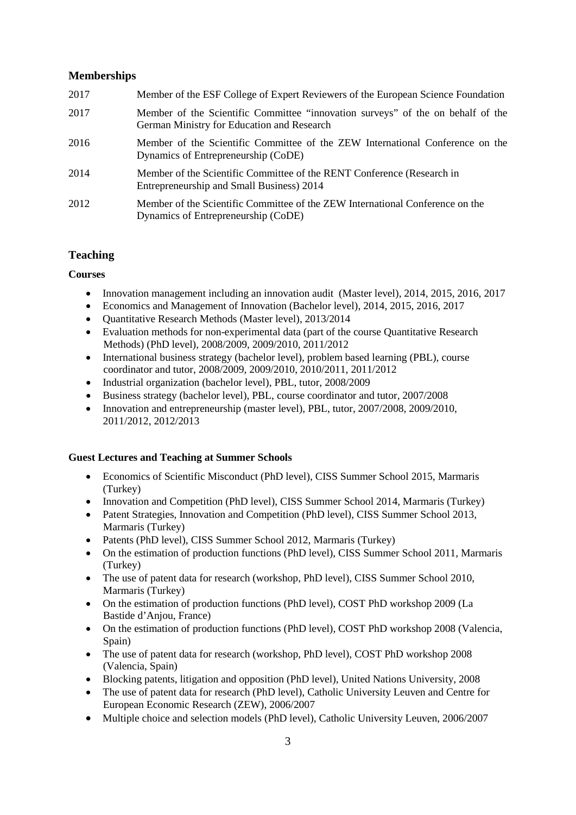## **Memberships**

| 2017 | Member of the ESF College of Expert Reviewers of the European Science Foundation                                              |
|------|-------------------------------------------------------------------------------------------------------------------------------|
| 2017 | Member of the Scientific Committee "innovation surveys" of the on behalf of the<br>German Ministry for Education and Research |
| 2016 | Member of the Scientific Committee of the ZEW International Conference on the<br>Dynamics of Entrepreneurship (CoDE)          |
| 2014 | Member of the Scientific Committee of the RENT Conference (Research in<br>Entrepreneurship and Small Business) 2014           |
| 2012 | Member of the Scientific Committee of the ZEW International Conference on the<br>Dynamics of Entrepreneurship (CoDE)          |

## **Teaching**

## **Courses**

- Innovation management including an innovation audit (Master level), 2014, 2015, 2016, 2017
- Economics and Management of Innovation (Bachelor level), 2014, 2015, 2016, 2017
- Quantitative Research Methods (Master level), 2013/2014
- Evaluation methods for non-experimental data (part of the course Quantitative Research Methods) (PhD level), 2008/2009, 2009/2010, 2011/2012
- International business strategy (bachelor level), problem based learning (PBL), course coordinator and tutor, 2008/2009, 2009/2010, 2010/2011, 2011/2012
- Industrial organization (bachelor level), PBL, tutor, 2008/2009
- Business strategy (bachelor level), PBL, course coordinator and tutor, 2007/2008
- Innovation and entrepreneurship (master level), PBL, tutor, 2007/2008, 2009/2010, 2011/2012, 2012/2013

## **Guest Lectures and Teaching at Summer Schools**

- Economics of Scientific Misconduct (PhD level), CISS Summer School 2015, Marmaris (Turkey)
- Innovation and Competition (PhD level), CISS Summer School 2014, Marmaris (Turkey)
- Patent Strategies, Innovation and Competition (PhD level), CISS Summer School 2013, Marmaris (Turkey)
- Patents (PhD level), CISS Summer School 2012, Marmaris (Turkey)
- On the estimation of production functions (PhD level), CISS Summer School 2011, Marmaris (Turkey)
- The use of patent data for research (workshop, PhD level), CISS Summer School 2010, Marmaris (Turkey)
- On the estimation of production functions (PhD level), COST PhD workshop 2009 (La Bastide d'Anjou, France)
- On the estimation of production functions (PhD level), COST PhD workshop 2008 (Valencia, Spain)
- The use of patent data for research (workshop, PhD level), COST PhD workshop 2008 (Valencia, Spain)
- Blocking patents, litigation and opposition (PhD level), United Nations University, 2008
- The use of patent data for research (PhD level), Catholic University Leuven and Centre for European Economic Research (ZEW), 2006/2007
- Multiple choice and selection models (PhD level), Catholic University Leuven, 2006/2007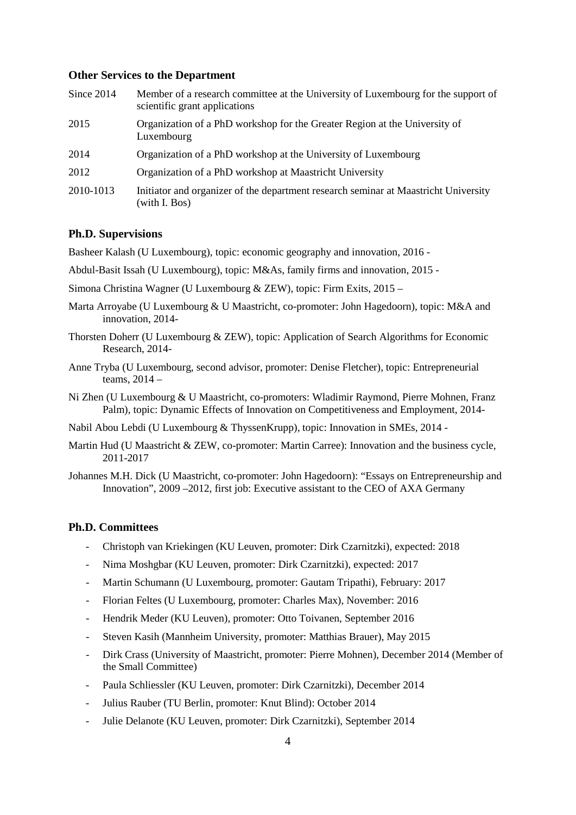#### **Other Services to the Department**

| Since 2014 | Member of a research committee at the University of Luxembourg for the support of<br>scientific grant applications |
|------------|--------------------------------------------------------------------------------------------------------------------|
| 2015       | Organization of a PhD workshop for the Greater Region at the University of<br>Luxembourg                           |
| 2014       | Organization of a PhD workshop at the University of Luxembourg                                                     |
| 2012       | Organization of a PhD workshop at Maastricht University                                                            |
| 2010-1013  | Initiator and organizer of the department research seminar at Maastricht University<br>(with I. Bos)               |

#### **Ph.D. Supervisions**

Basheer Kalash (U Luxembourg), topic: economic geography and innovation, 2016 -

Abdul-Basit Issah (U Luxembourg), topic: M&As, family firms and innovation, 2015 -

- Simona Christina Wagner (U Luxembourg & ZEW), topic: Firm Exits, 2015 –
- Marta Arroyabe (U Luxembourg & U Maastricht, co-promoter: John Hagedoorn), topic: M&A and innovation, 2014-
- Thorsten Doherr (U Luxembourg & ZEW), topic: Application of Search Algorithms for Economic Research, 2014-
- Anne Tryba (U Luxembourg, second advisor, promoter: Denise Fletcher), topic: Entrepreneurial teams, 2014 –

Ni Zhen (U Luxembourg & U Maastricht, co-promoters: Wladimir Raymond, Pierre Mohnen, Franz Palm), topic: Dynamic Effects of Innovation on Competitiveness and Employment, 2014-

Nabil Abou Lebdi (U Luxembourg & ThyssenKrupp), topic: Innovation in SMEs, 2014 -

Martin Hud (U Maastricht & ZEW, co-promoter: Martin Carree): Innovation and the business cycle, 2011-2017

Johannes M.H. Dick (U Maastricht, co-promoter: John Hagedoorn): "Essays on Entrepreneurship and Innovation", 2009 –2012, first job: Executive assistant to the CEO of AXA Germany

## **Ph.D. Committees**

- Christoph van Kriekingen (KU Leuven, promoter: Dirk Czarnitzki), expected: 2018
- Nima Moshgbar (KU Leuven, promoter: Dirk Czarnitzki), expected: 2017
- Martin Schumann (U Luxembourg, promoter: Gautam Tripathi), February: 2017
- Florian Feltes (U Luxembourg, promoter: Charles Max), November: 2016
- Hendrik Meder (KU Leuven), promoter: Otto Toivanen, September 2016
- Steven Kasih (Mannheim University, promoter: Matthias Brauer), May 2015
- Dirk Crass (University of Maastricht, promoter: Pierre Mohnen), December 2014 (Member of the Small Committee)
- Paula Schliessler (KU Leuven, promoter: Dirk Czarnitzki), December 2014
- Julius Rauber (TU Berlin, promoter: Knut Blind): October 2014
- Julie Delanote (KU Leuven, promoter: Dirk Czarnitzki), September 2014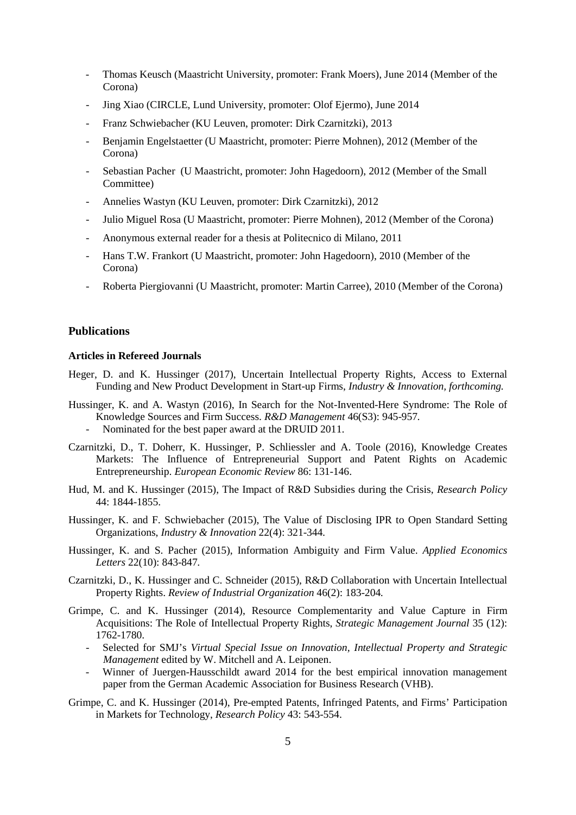- Thomas Keusch (Maastricht University, promoter: Frank Moers), June 2014 (Member of the Corona)
- Jing Xiao (CIRCLE, Lund University, promoter: Olof Ejermo), June 2014
- Franz Schwiebacher (KU Leuven, promoter: Dirk Czarnitzki), 2013
- Benjamin Engelstaetter (U Maastricht, promoter: Pierre Mohnen), 2012 (Member of the Corona)
- Sebastian Pacher (U Maastricht, promoter: John Hagedoorn), 2012 (Member of the Small Committee)
- Annelies Wastyn (KU Leuven, promoter: Dirk Czarnitzki), 2012
- Julio Miguel Rosa (U Maastricht, promoter: Pierre Mohnen), 2012 (Member of the Corona)
- Anonymous external reader for a thesis at Politecnico di Milano, 2011
- Hans T.W. Frankort (U Maastricht, promoter: John Hagedoorn), 2010 (Member of the Corona)
- Roberta Piergiovanni (U Maastricht, promoter: Martin Carree), 2010 (Member of the Corona)

#### **Publications**

#### **Articles in Refereed Journals**

- Heger, D. and K. Hussinger (2017), Uncertain Intellectual Property Rights, Access to External Funding and New Product Development in Start-up Firms, *Industry & Innovation, forthcoming.*
- Hussinger, K. and A. Wastyn (2016), In Search for the Not-Invented-Here Syndrome: The Role of Knowledge Sources and Firm Success. *R&D Management* 46(S3): 945-957*.* 
	- Nominated for the best paper award at the DRUID 2011.
- Czarnitzki, D., T. Doherr, K. Hussinger, P. Schliessler and A. Toole (2016), Knowledge Creates Markets: The Influence of Entrepreneurial Support and Patent Rights on Academic Entrepreneurship. *European Economic Review* 86: 131-146.
- Hud, M. and K. Hussinger (2015), The Impact of R&D Subsidies during the Crisis, *Research Policy*  44: 1844-1855.
- Hussinger, K. and F. Schwiebacher (2015), The Value of Disclosing IPR to Open Standard Setting Organizations, *Industry & Innovation* 22(4): 321-344*.*
- Hussinger, K. and S. Pacher (2015), Information Ambiguity and Firm Value. *Applied Economics Letters* 22(10): 843-847*.*
- Czarnitzki, D., K. Hussinger and C. Schneider (2015), R&D Collaboration with Uncertain Intellectual Property Rights. *Review of Industrial Organization* 46(2): 183-204*.*
- Grimpe, C. and K. Hussinger (2014), Resource Complementarity and Value Capture in Firm Acquisitions: The Role of Intellectual Property Rights, *Strategic Management Journal* 35 (12): 1762-1780.
	- Selected for SMJ's *Virtual Special Issue on Innovation, Intellectual Property and Strategic Management* edited by W. Mitchell and A. Leiponen.
	- Winner of Juergen-Hausschildt award 2014 for the best empirical innovation management paper from the German Academic Association for Business Research (VHB).
- Grimpe, C. and K. Hussinger (2014), Pre-empted Patents, Infringed Patents, and Firms' Participation in Markets for Technology, *Research Policy* 43: 543-554.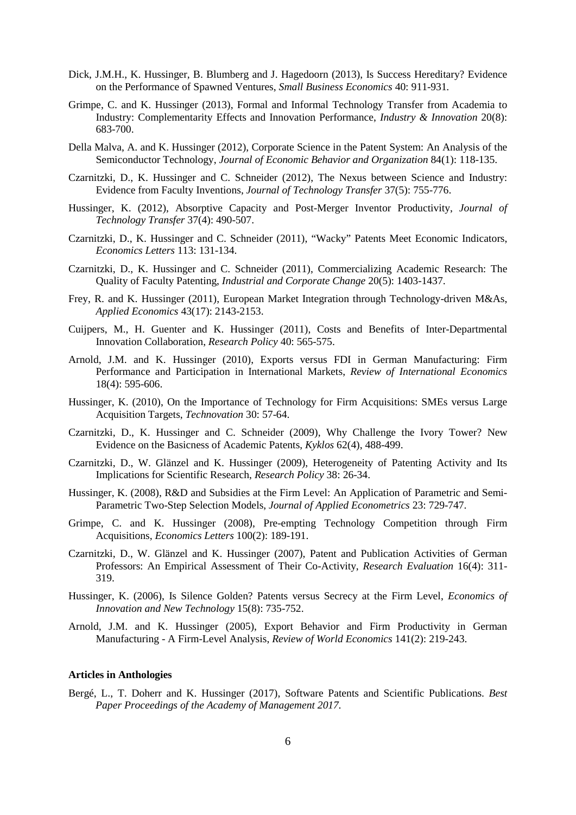- Dick, J.M.H., K. Hussinger, B. Blumberg and J. Hagedoorn (2013), Is Success Hereditary? Evidence on the Performance of Spawned Ventures, *Small Business Economics* 40: 911-931*.*
- Grimpe, C. and K. Hussinger (2013), Formal and Informal Technology Transfer from Academia to Industry: Complementarity Effects and Innovation Performance, *Industry & Innovation* 20(8): 683-700.
- Della Malva, A. and K. Hussinger (2012), Corporate Science in the Patent System: An Analysis of the Semiconductor Technology, *Journal of Economic Behavior and Organization* 84(1): 118-135.
- Czarnitzki, D., K. Hussinger and C. Schneider (2012), The Nexus between Science and Industry: Evidence from Faculty Inventions, *Journal of Technology Transfer* 37(5): 755-776.
- Hussinger, K. (2012), Absorptive Capacity and Post-Merger Inventor Productivity, *Journal of Technology Transfer* 37(4): 490-507.
- Czarnitzki, D., K. Hussinger and C. Schneider (2011), "Wacky" Patents Meet Economic Indicators, *Economics Letters* 113: 131-134.
- Czarnitzki, D., K. Hussinger and C. Schneider (2011), Commercializing Academic Research: The Quality of Faculty Patenting, *Industrial and Corporate Change* 20(5): 1403-1437.
- Frey, R. and K. Hussinger (2011), European Market Integration through Technology-driven M&As, *Applied Economics* 43(17): 2143-2153.
- Cuijpers, M., H. Guenter and K. Hussinger (2011), Costs and Benefits of Inter-Departmental Innovation Collaboration, *Research Policy* 40: 565-575.
- Arnold, J.M. and K. Hussinger (2010), Exports versus FDI in German Manufacturing: Firm Performance and Participation in International Markets, *Review of International Economics* 18(4): 595-606.
- Hussinger, K. (2010), On the Importance of Technology for Firm Acquisitions: SMEs versus Large Acquisition Targets, *Technovation* 30: 57-64.
- Czarnitzki, D., K. Hussinger and C. Schneider (2009), Why Challenge the Ivory Tower? New Evidence on the Basicness of Academic Patents, *Kyklos* 62(4), 488-499.
- Czarnitzki, D., W. Glänzel and K. Hussinger (2009), Heterogeneity of Patenting Activity and Its Implications for Scientific Research, *Research Policy* 38: 26-34.
- Hussinger, K. (2008), R&D and Subsidies at the Firm Level: An Application of Parametric and Semi-Parametric Two-Step Selection Models, *Journal of Applied Econometrics* 23: 729-747.
- Grimpe, C. and K. Hussinger (2008), Pre-empting Technology Competition through Firm Acquisitions, *Economics Letters* 100(2): 189-191.
- Czarnitzki, D., W. Glänzel and K. Hussinger (2007), Patent and Publication Activities of German Professors: An Empirical Assessment of Their Co-Activity, *Research Evaluation* 16(4): 311- 319.
- Hussinger, K. (2006), Is Silence Golden? Patents versus Secrecy at the Firm Level, *Economics of Innovation and New Technology* 15(8): 735-752.
- Arnold, J.M. and K. Hussinger (2005), Export Behavior and Firm Productivity in German Manufacturing - A Firm-Level Analysis, *Review of World Economics* 141(2): 219-243.

#### **Articles in Anthologies**

Bergé, L., T. Doherr and K. Hussinger (2017), Software Patents and Scientific Publications. *Best Paper Proceedings of the Academy of Management 2017.*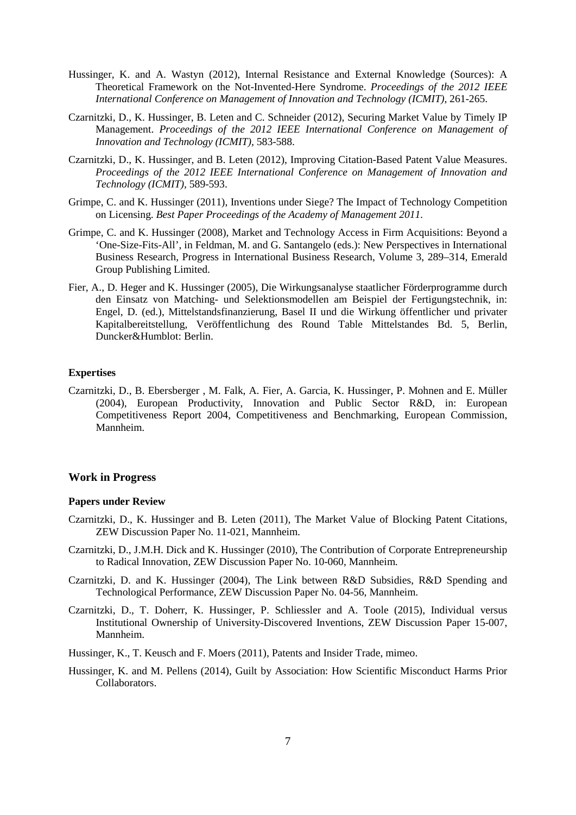- Hussinger, K. and A. Wastyn (2012), Internal Resistance and External Knowledge (Sources): A Theoretical Framework on the Not-Invented-Here Syndrome. *Proceedings of the 2012 IEEE International Conference on Management of Innovation and Technology (ICMIT)*, 261-265.
- Czarnitzki, D., K. Hussinger, B. Leten and C. Schneider (2012), Securing Market Value by Timely IP Management. *Proceedings of the 2012 IEEE International Conference on Management of Innovation and Technology (ICMIT),* 583-588.
- Czarnitzki, D., K. Hussinger, and B. Leten (2012), Improving Citation-Based Patent Value Measures. *Proceedings of the 2012 IEEE International Conference on Management of Innovation and Technology (ICMIT),* 589-593.
- Grimpe, C. and K. Hussinger (2011), Inventions under Siege? The Impact of Technology Competition on Licensing. *Best Paper Proceedings of the Academy of Management 2011.*
- Grimpe, C. and K. Hussinger (2008), Market and Technology Access in Firm Acquisitions: Beyond a 'One-Size-Fits-All', in Feldman, M. and G. Santangelo (eds.): New Perspectives in International Business Research, Progress in International Business Research, Volume 3, 289–314, Emerald Group Publishing Limited.
- Fier, A., D. Heger and K. Hussinger (2005), Die Wirkungsanalyse staatlicher Förderprogramme durch den Einsatz von Matching- und Selektionsmodellen am Beispiel der Fertigungstechnik, in: Engel, D. (ed.), Mittelstandsfinanzierung, Basel II und die Wirkung öffentlicher und privater Kapitalbereitstellung, Veröffentlichung des Round Table Mittelstandes Bd. 5, Berlin, Duncker&Humblot: Berlin.

#### **Expertises**

Czarnitzki, D., B. Ebersberger , M. Falk, A. Fier, A. Garcia, K. Hussinger, P. Mohnen and E. Müller (2004), European Productivity, Innovation and Public Sector R&D, in: European Competitiveness Report 2004, Competitiveness and Benchmarking, European Commission, Mannheim.

#### **Work in Progress**

#### **Papers under Review**

- Czarnitzki, D., K. Hussinger and B. Leten (2011), The Market Value of Blocking Patent Citations, ZEW Discussion Paper No. 11-021, Mannheim.
- Czarnitzki, D., J.M.H. Dick and K. Hussinger (2010), The Contribution of Corporate Entrepreneurship to Radical Innovation, ZEW Discussion Paper No. 10-060, Mannheim.
- Czarnitzki, D. and K. Hussinger (2004), The Link between R&D Subsidies, R&D Spending and Technological Performance, ZEW Discussion Paper No. 04-56, Mannheim.
- Czarnitzki, D., T. Doherr, K. Hussinger, P. Schliessler and A. Toole (2015), Individual versus Institutional Ownership of University-Discovered Inventions, ZEW Discussion Paper 15-007, Mannheim.
- Hussinger, K., T. Keusch and F. Moers (2011), Patents and Insider Trade, mimeo.
- Hussinger, K. and M. Pellens (2014), Guilt by Association: How Scientific Misconduct Harms Prior Collaborators.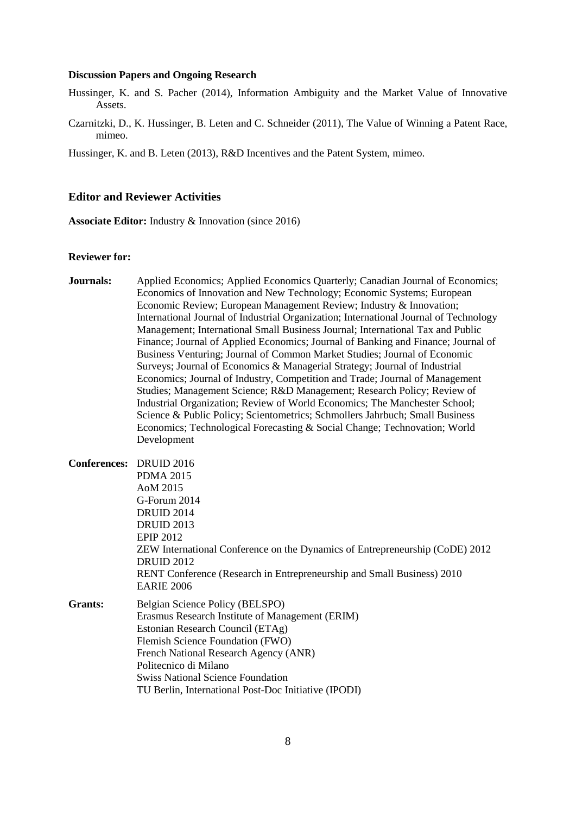#### **Discussion Papers and Ongoing Research**

- Hussinger, K. and S. Pacher (2014), Information Ambiguity and the Market Value of Innovative Assets.
- Czarnitzki, D., K. Hussinger, B. Leten and C. Schneider (2011), The Value of Winning a Patent Race, mimeo.

Hussinger, K. and B. Leten (2013), R&D Incentives and the Patent System, mimeo.

## **Editor and Reviewer Activities**

**Associate Editor:** Industry & Innovation (since 2016)

#### **Reviewer for:**

- **Journals:** Applied Economics; Applied Economics Quarterly; Canadian Journal of Economics; Economics of Innovation and New Technology; Economic Systems; European Economic Review; European Management Review; Industry & Innovation; International Journal of Industrial Organization; International Journal of Technology Management; International Small Business Journal; International Tax and Public Finance; Journal of Applied Economics; Journal of Banking and Finance; Journal of Business Venturing; Journal of Common Market Studies; Journal of Economic Surveys; Journal of Economics & Managerial Strategy; Journal of Industrial Economics; Journal of Industry, Competition and Trade; Journal of Management Studies; Management Science; R&D Management; Research Policy; Review of Industrial Organization; Review of World Economics; The Manchester School; Science & Public Policy; Scientometrics; Schmollers Jahrbuch; Small Business Economics; Technological Forecasting & Social Change; Technovation; World Development **Conferences:** DRUID 2016 PDMA 2015 AoM 2015 G-Forum 2014 DRUID 2014 DRUID 2013 EPIP 2012 ZEW International Conference on the Dynamics of Entrepreneurship (CoDE) 2012 DRUID 2012 RENT Conference (Research in Entrepreneurship and Small Business) 2010 EARIE 2006 **Grants:** Belgian Science Policy (BELSPO) Erasmus Research Institute of Management (ERIM) Estonian Research Council (ETAg) Flemish Science Foundation (FWO)
	- Politecnico di Milano Swiss National Science Foundation
		-

French National Research Agency (ANR)

TU Berlin, International Post-Doc Initiative (IPODI)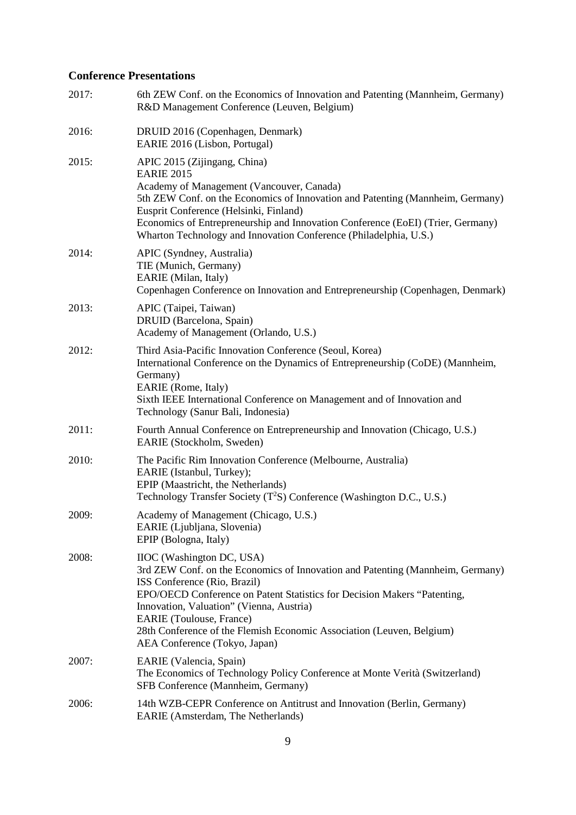## **Conference Presentations**

| 2017: | 6th ZEW Conf. on the Economics of Innovation and Patenting (Mannheim, Germany)<br>R&D Management Conference (Leuven, Belgium)                                                                                                                                                                                                                                                                                    |
|-------|------------------------------------------------------------------------------------------------------------------------------------------------------------------------------------------------------------------------------------------------------------------------------------------------------------------------------------------------------------------------------------------------------------------|
| 2016: | DRUID 2016 (Copenhagen, Denmark)<br>EARIE 2016 (Lisbon, Portugal)                                                                                                                                                                                                                                                                                                                                                |
| 2015: | APIC 2015 (Zijingang, China)<br><b>EARIE 2015</b><br>Academy of Management (Vancouver, Canada)<br>5th ZEW Conf. on the Economics of Innovation and Patenting (Mannheim, Germany)<br>Eusprit Conference (Helsinki, Finland)<br>Economics of Entrepreneurship and Innovation Conference (EoEI) (Trier, Germany)<br>Wharton Technology and Innovation Conference (Philadelphia, U.S.)                               |
| 2014: | APIC (Syndney, Australia)<br>TIE (Munich, Germany)<br>EARIE (Milan, Italy)<br>Copenhagen Conference on Innovation and Entrepreneurship (Copenhagen, Denmark)                                                                                                                                                                                                                                                     |
| 2013: | APIC (Taipei, Taiwan)<br>DRUID (Barcelona, Spain)<br>Academy of Management (Orlando, U.S.)                                                                                                                                                                                                                                                                                                                       |
| 2012: | Third Asia-Pacific Innovation Conference (Seoul, Korea)<br>International Conference on the Dynamics of Entrepreneurship (CoDE) (Mannheim,<br>Germany)<br>EARIE (Rome, Italy)<br>Sixth IEEE International Conference on Management and of Innovation and<br>Technology (Sanur Bali, Indonesia)                                                                                                                    |
| 2011: | Fourth Annual Conference on Entrepreneurship and Innovation (Chicago, U.S.)<br>EARIE (Stockholm, Sweden)                                                                                                                                                                                                                                                                                                         |
| 2010: | The Pacific Rim Innovation Conference (Melbourne, Australia)<br>EARIE (Istanbul, Turkey);<br>EPIP (Maastricht, the Netherlands)<br>Technology Transfer Society (T <sup>2</sup> S) Conference (Washington D.C., U.S.)                                                                                                                                                                                             |
| 2009: | Academy of Management (Chicago, U.S.)<br>EARIE (Ljubljana, Slovenia)<br>EPIP (Bologna, Italy)                                                                                                                                                                                                                                                                                                                    |
| 2008: | IIOC (Washington DC, USA)<br>3rd ZEW Conf. on the Economics of Innovation and Patenting (Mannheim, Germany)<br>ISS Conference (Rio, Brazil)<br>EPO/OECD Conference on Patent Statistics for Decision Makers "Patenting,<br>Innovation, Valuation" (Vienna, Austria)<br><b>EARIE</b> (Toulouse, France)<br>28th Conference of the Flemish Economic Association (Leuven, Belgium)<br>AEA Conference (Tokyo, Japan) |
| 2007: | EARIE (Valencia, Spain)<br>The Economics of Technology Policy Conference at Monte Verità (Switzerland)<br>SFB Conference (Mannheim, Germany)                                                                                                                                                                                                                                                                     |
| 2006: | 14th WZB-CEPR Conference on Antitrust and Innovation (Berlin, Germany)<br>EARIE (Amsterdam, The Netherlands)                                                                                                                                                                                                                                                                                                     |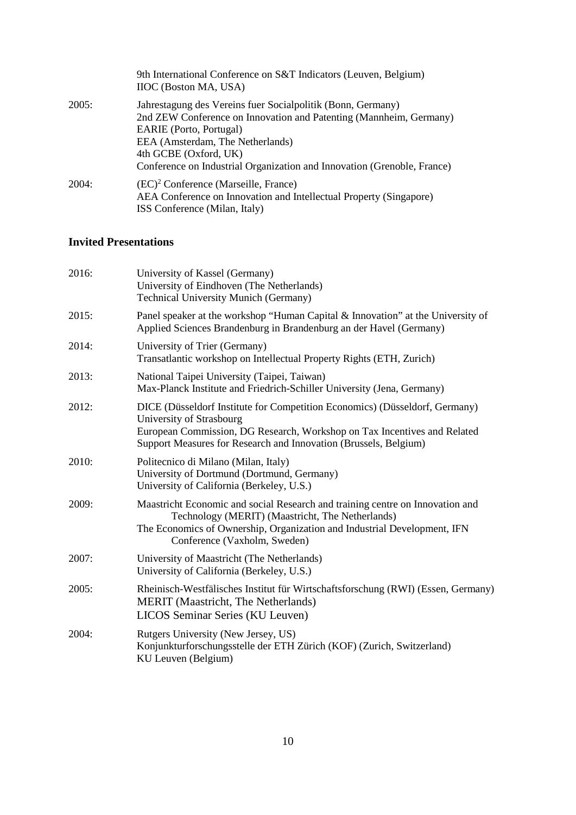|       | 9th International Conference on S&T Indicators (Leuven, Belgium)<br><b>IIOC</b> (Boston MA, USA)                                                                                                                                                                                                     |
|-------|------------------------------------------------------------------------------------------------------------------------------------------------------------------------------------------------------------------------------------------------------------------------------------------------------|
| 2005: | Jahrestagung des Vereins fuer Socialpolitik (Bonn, Germany)<br>2nd ZEW Conference on Innovation and Patenting (Mannheim, Germany)<br>EARIE (Porto, Portugal)<br>EEA (Amsterdam, The Netherlands)<br>4th GCBE (Oxford, UK)<br>Conference on Industrial Organization and Innovation (Grenoble, France) |
| 2004: | $(EC)^2$ Conference (Marseille, France)<br>AEA Conference on Innovation and Intellectual Property (Singapore)<br>ISS Conference (Milan, Italy)                                                                                                                                                       |

## **Invited Presentations**

| 2016: | University of Kassel (Germany)<br>University of Eindhoven (The Netherlands)<br><b>Technical University Munich (Germany)</b>                                                                                                                             |
|-------|---------------------------------------------------------------------------------------------------------------------------------------------------------------------------------------------------------------------------------------------------------|
| 2015: | Panel speaker at the workshop "Human Capital & Innovation" at the University of<br>Applied Sciences Brandenburg in Brandenburg an der Havel (Germany)                                                                                                   |
| 2014: | University of Trier (Germany)<br>Transatlantic workshop on Intellectual Property Rights (ETH, Zurich)                                                                                                                                                   |
| 2013: | National Taipei University (Taipei, Taiwan)<br>Max-Planck Institute and Friedrich-Schiller University (Jena, Germany)                                                                                                                                   |
| 2012: | DICE (Düsseldorf Institute for Competition Economics) (Düsseldorf, Germany)<br>University of Strasbourg<br>European Commission, DG Research, Workshop on Tax Incentives and Related<br>Support Measures for Research and Innovation (Brussels, Belgium) |
| 2010: | Politecnico di Milano (Milan, Italy)<br>University of Dortmund (Dortmund, Germany)<br>University of California (Berkeley, U.S.)                                                                                                                         |
| 2009: | Maastricht Economic and social Research and training centre on Innovation and<br>Technology (MERIT) (Maastricht, The Netherlands)<br>The Economics of Ownership, Organization and Industrial Development, IFN<br>Conference (Vaxholm, Sweden)           |
| 2007: | University of Maastricht (The Netherlands)<br>University of California (Berkeley, U.S.)                                                                                                                                                                 |
| 2005: | Rheinisch-Westfälisches Institut für Wirtschaftsforschung (RWI) (Essen, Germany)<br><b>MERIT</b> (Maastricht, The Netherlands)<br>LICOS Seminar Series (KU Leuven)                                                                                      |
| 2004: | Rutgers University (New Jersey, US)<br>Konjunkturforschungsstelle der ETH Zürich (KOF) (Zurich, Switzerland)<br>KU Leuven (Belgium)                                                                                                                     |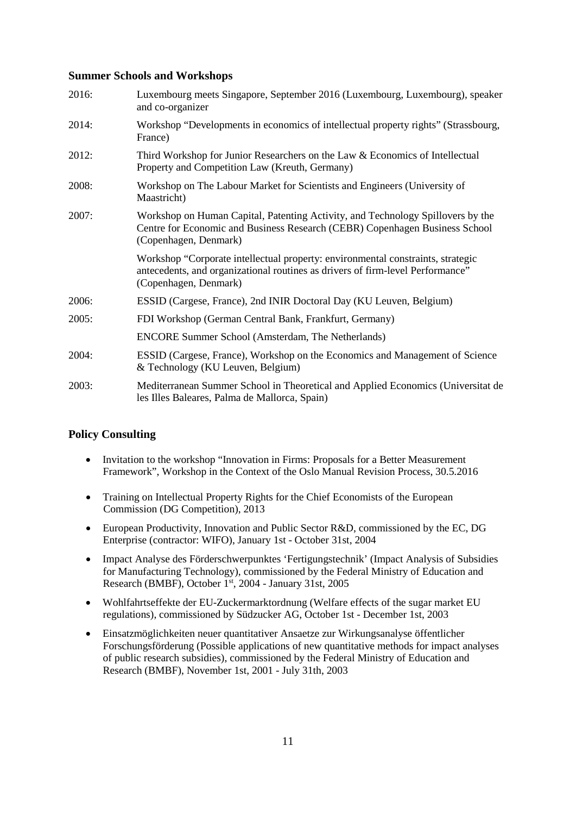## **Summer Schools and Workshops**

| 2016: | Luxembourg meets Singapore, September 2016 (Luxembourg, Luxembourg), speaker<br>and co-organizer                                                                                           |
|-------|--------------------------------------------------------------------------------------------------------------------------------------------------------------------------------------------|
| 2014: | Workshop "Developments in economics of intellectual property rights" (Strassbourg,<br>France)                                                                                              |
| 2012: | Third Workshop for Junior Researchers on the Law & Economics of Intellectual<br>Property and Competition Law (Kreuth, Germany)                                                             |
| 2008: | Workshop on The Labour Market for Scientists and Engineers (University of<br>Maastricht)                                                                                                   |
| 2007: | Workshop on Human Capital, Patenting Activity, and Technology Spillovers by the<br>Centre for Economic and Business Research (CEBR) Copenhagen Business School<br>(Copenhagen, Denmark)    |
|       | Workshop "Corporate intellectual property: environmental constraints, strategic<br>antecedents, and organizational routines as drivers of firm-level Performance"<br>(Copenhagen, Denmark) |
| 2006: | ESSID (Cargese, France), 2nd INIR Doctoral Day (KU Leuven, Belgium)                                                                                                                        |
| 2005: | FDI Workshop (German Central Bank, Frankfurt, Germany)                                                                                                                                     |
|       | <b>ENCORE Summer School (Amsterdam, The Netherlands)</b>                                                                                                                                   |
| 2004: | ESSID (Cargese, France), Workshop on the Economics and Management of Science<br>& Technology (KU Leuven, Belgium)                                                                          |
| 2003: | Mediterranean Summer School in Theoretical and Applied Economics (Universitat de<br>les Illes Baleares, Palma de Mallorca, Spain)                                                          |

## **Policy Consulting**

- Invitation to the workshop "Innovation in Firms: Proposals for a Better Measurement Framework", Workshop in the Context of the Oslo Manual Revision Process, 30.5.2016
- Training on Intellectual Property Rights for the Chief Economists of the European Commission (DG Competition), 2013
- European Productivity, Innovation and Public Sector R&D, commissioned by the EC, DG Enterprise (contractor: WIFO), January 1st - October 31st, 2004
- Impact Analyse des Förderschwerpunktes 'Fertigungstechnik' (Impact Analysis of Subsidies for Manufacturing Technology), commissioned by the Federal Ministry of Education and Research (BMBF), October 1st, 2004 - January 31st, 2005
- Wohlfahrtseffekte der EU-Zuckermarktordnung (Welfare effects of the sugar market EU regulations), commissioned by Südzucker AG, October 1st - December 1st, 2003
- Einsatzmöglichkeiten neuer quantitativer Ansaetze zur Wirkungsanalyse öffentlicher Forschungsförderung (Possible applications of new quantitative methods for impact analyses of public research subsidies), commissioned by the Federal Ministry of Education and Research (BMBF), November 1st, 2001 - July 31th, 2003